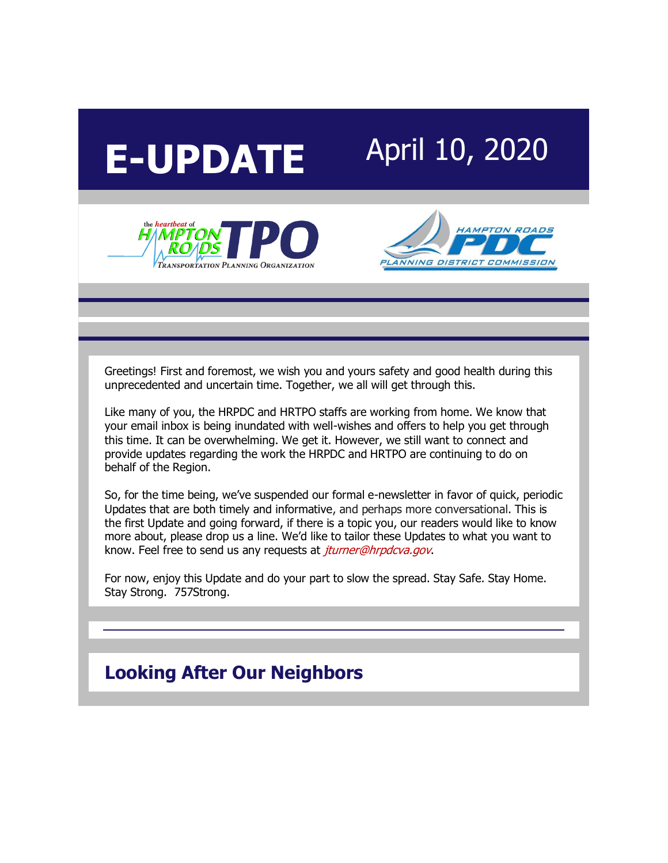





Greetings! First and foremost, we wish you and yours safety and good health during this unprecedented and uncertain time. Together, we all will get through this.

Like many of you, the HRPDC and HRTPO staffs are working from home. We know that your email inbox is being inundated with well-wishes and offers to help you get through this time. It can be overwhelming. We get it. However, we still want to connect and provide updates regarding the work the HRPDC and HRTPO are continuing to do on behalf of the Region.

So, for the time being, we've suspended our formal e-newsletter in favor of quick, periodic Updates that are both timely and informative, and perhaps more conversational. This is the first Update and going forward, if there is a topic you, our readers would like to know more about, please drop us a line. We'd like to tailor these Updates to what you want to know. Feel free to send us any requests at *[jturner@hrpdcva.gov](mailto:jturner@hrpdcva.gov)*.

For now, enjoy this Update and do your part to slow the spread. Stay Safe. Stay Home. Stay Strong. 757Strong.

### **Looking After Our Neighbors**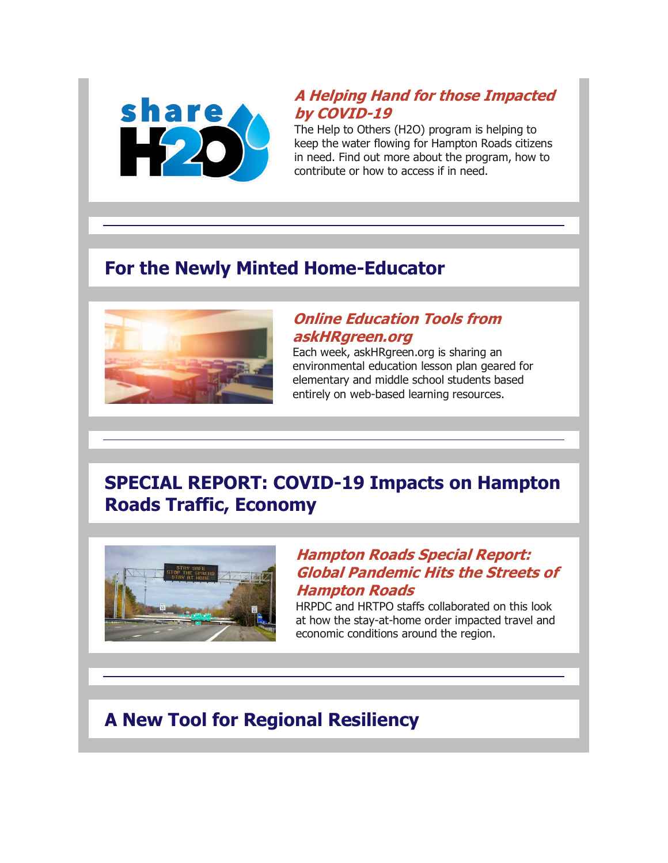

### **[A Helping Hand for those Impacted](http://r20.rs6.net/tn.jsp?f=001j6hrD6sqta7AYUp4OVCVL9T2ip3mYDjZtlrBGl8KgiPoA9Rr2BBLFY_RLWUTNyc0d7wxK-Tz_ZGozM-T0XzB8sof3iKeTVm2F0ZDtmuR4x9LRTuUzQbBpoHfJ-D80S4OfQufytWr4H7xavsG8sM8wGIlH5_jN18KiMznWJ4Bt5wCrIFDnsKZtU9frMBjjNjBmmZHUke4dGNOn0CUfAeJz8uVUpce7hzhlbQc-tnbjPUtyitTFtOiQUtWbymdJvc3&c=kvBwsJ_QoAy_zyxg-8AmjYeczI0YXqKAtkQzbUucZkQK5bLPe_kmKA==&ch=BEs6bb6Slx7vvdEzkypvv9unGqW7BoDvTfhZqxVX6I84RDyz77NPOw==)  [by COVID-19](http://r20.rs6.net/tn.jsp?f=001j6hrD6sqta7AYUp4OVCVL9T2ip3mYDjZtlrBGl8KgiPoA9Rr2BBLFY_RLWUTNyc0d7wxK-Tz_ZGozM-T0XzB8sof3iKeTVm2F0ZDtmuR4x9LRTuUzQbBpoHfJ-D80S4OfQufytWr4H7xavsG8sM8wGIlH5_jN18KiMznWJ4Bt5wCrIFDnsKZtU9frMBjjNjBmmZHUke4dGNOn0CUfAeJz8uVUpce7hzhlbQc-tnbjPUtyitTFtOiQUtWbymdJvc3&c=kvBwsJ_QoAy_zyxg-8AmjYeczI0YXqKAtkQzbUucZkQK5bLPe_kmKA==&ch=BEs6bb6Slx7vvdEzkypvv9unGqW7BoDvTfhZqxVX6I84RDyz77NPOw==)**

The Help to Others (H2O) program is helping to keep the water flowing for Hampton Roads citizens in need. Find out more about the program, how to contribute or how to access if in need.

# **For the Newly Minted Home-Educator**



#### **[Online Education Tools from](http://r20.rs6.net/tn.jsp?f=001j6hrD6sqta7AYUp4OVCVL9T2ip3mYDjZtlrBGl8KgiPoA9Rr2BBLFY_RLWUTNyc05sWy8pZ80r6RC0yJH9MbqGx4GAskpV0TBM9KXwUWgWXul0te9ZZMuIjqAXNjLannCLb0TTjY5Dbn1pK9FOTphrtQteag6syNlTkzk73YLLKc9IpU5Kn9m6usDy_cUaNwkAx0LIMbSdyT1et-gf6zSFByZX03Yo5yNU5WihnSQy_zlcLcY4ytSyRl7BkAEvsR&c=kvBwsJ_QoAy_zyxg-8AmjYeczI0YXqKAtkQzbUucZkQK5bLPe_kmKA==&ch=BEs6bb6Slx7vvdEzkypvv9unGqW7BoDvTfhZqxVX6I84RDyz77NPOw==)  [askHRgreen.org](http://r20.rs6.net/tn.jsp?f=001j6hrD6sqta7AYUp4OVCVL9T2ip3mYDjZtlrBGl8KgiPoA9Rr2BBLFY_RLWUTNyc05sWy8pZ80r6RC0yJH9MbqGx4GAskpV0TBM9KXwUWgWXul0te9ZZMuIjqAXNjLannCLb0TTjY5Dbn1pK9FOTphrtQteag6syNlTkzk73YLLKc9IpU5Kn9m6usDy_cUaNwkAx0LIMbSdyT1et-gf6zSFByZX03Yo5yNU5WihnSQy_zlcLcY4ytSyRl7BkAEvsR&c=kvBwsJ_QoAy_zyxg-8AmjYeczI0YXqKAtkQzbUucZkQK5bLPe_kmKA==&ch=BEs6bb6Slx7vvdEzkypvv9unGqW7BoDvTfhZqxVX6I84RDyz77NPOw==)**

Each week, askHRgreen.org is sharing an environmental education lesson plan geared for elementary and middle school students based entirely on web-based learning resources.

# **SPECIAL REPORT: COVID-19 Impacts on Hampton Roads Traffic, Economy**



### **[Hampton Roads Special Report:](http://r20.rs6.net/tn.jsp?f=001j6hrD6sqta7AYUp4OVCVL9T2ip3mYDjZtlrBGl8KgiPoA9Rr2BBLFY_RLWUTNyc0r2nEi1ep9Ca94gMQ9j09sXJGGjUtHx5pxwB-2NwzweVy7WiLkWD3uHd8yTzI5mjVSJQ7TntG0pGzXkL9nSAiQO49ksc_FOeuCLRn2829DfXH0Nl_q-vCmNaqyxKi5bQdP7ugANr67dIxyEkTkBNSUA==&c=kvBwsJ_QoAy_zyxg-8AmjYeczI0YXqKAtkQzbUucZkQK5bLPe_kmKA==&ch=BEs6bb6Slx7vvdEzkypvv9unGqW7BoDvTfhZqxVX6I84RDyz77NPOw==)  [Global Pandemic Hits the Streets of](http://r20.rs6.net/tn.jsp?f=001j6hrD6sqta7AYUp4OVCVL9T2ip3mYDjZtlrBGl8KgiPoA9Rr2BBLFY_RLWUTNyc0r2nEi1ep9Ca94gMQ9j09sXJGGjUtHx5pxwB-2NwzweVy7WiLkWD3uHd8yTzI5mjVSJQ7TntG0pGzXkL9nSAiQO49ksc_FOeuCLRn2829DfXH0Nl_q-vCmNaqyxKi5bQdP7ugANr67dIxyEkTkBNSUA==&c=kvBwsJ_QoAy_zyxg-8AmjYeczI0YXqKAtkQzbUucZkQK5bLPe_kmKA==&ch=BEs6bb6Slx7vvdEzkypvv9unGqW7BoDvTfhZqxVX6I84RDyz77NPOw==)  [Hampton Roads](http://r20.rs6.net/tn.jsp?f=001j6hrD6sqta7AYUp4OVCVL9T2ip3mYDjZtlrBGl8KgiPoA9Rr2BBLFY_RLWUTNyc0r2nEi1ep9Ca94gMQ9j09sXJGGjUtHx5pxwB-2NwzweVy7WiLkWD3uHd8yTzI5mjVSJQ7TntG0pGzXkL9nSAiQO49ksc_FOeuCLRn2829DfXH0Nl_q-vCmNaqyxKi5bQdP7ugANr67dIxyEkTkBNSUA==&c=kvBwsJ_QoAy_zyxg-8AmjYeczI0YXqKAtkQzbUucZkQK5bLPe_kmKA==&ch=BEs6bb6Slx7vvdEzkypvv9unGqW7BoDvTfhZqxVX6I84RDyz77NPOw==)**

HRPDC and HRTPO staffs collaborated on this look at how the stay-at-home order impacted travel and economic conditions around the region.

# **A New Tool for Regional Resiliency**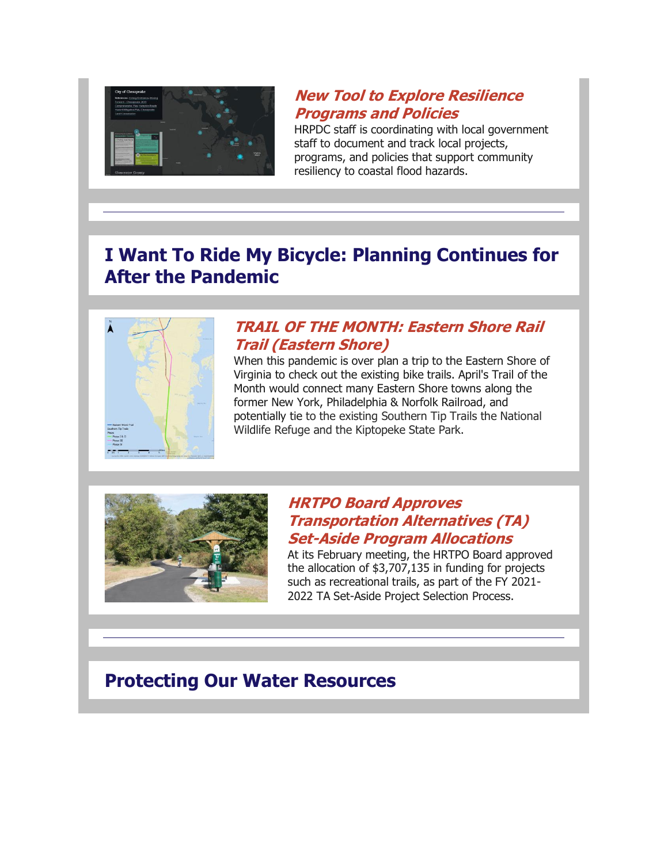

### **[New Tool to Explore Resilience](http://r20.rs6.net/tn.jsp?f=001j6hrD6sqta7AYUp4OVCVL9T2ip3mYDjZtlrBGl8KgiPoA9Rr2BBLFY_RLWUTNyc06__SA_aobBqMmDH5t23MRwzyvBcNWhtBHszvIYuMkprXkTDmw-ZqY-0JwtMJOXU2YKqtd5M6fcwrX4K_-NUWG07UcgMG_yAYw06rFFAijhWHZ1e7gRIhpjveVi-g2yh7qnx_UL2dqj5oe-BAuvN4AXSTAtWQAg1GS8yMH7x4uJakoLmfBYiYq1CGA7KnjLJECvjH-s7X4WY=&c=kvBwsJ_QoAy_zyxg-8AmjYeczI0YXqKAtkQzbUucZkQK5bLPe_kmKA==&ch=BEs6bb6Slx7vvdEzkypvv9unGqW7BoDvTfhZqxVX6I84RDyz77NPOw==)  [Programs and Policies](http://r20.rs6.net/tn.jsp?f=001j6hrD6sqta7AYUp4OVCVL9T2ip3mYDjZtlrBGl8KgiPoA9Rr2BBLFY_RLWUTNyc06__SA_aobBqMmDH5t23MRwzyvBcNWhtBHszvIYuMkprXkTDmw-ZqY-0JwtMJOXU2YKqtd5M6fcwrX4K_-NUWG07UcgMG_yAYw06rFFAijhWHZ1e7gRIhpjveVi-g2yh7qnx_UL2dqj5oe-BAuvN4AXSTAtWQAg1GS8yMH7x4uJakoLmfBYiYq1CGA7KnjLJECvjH-s7X4WY=&c=kvBwsJ_QoAy_zyxg-8AmjYeczI0YXqKAtkQzbUucZkQK5bLPe_kmKA==&ch=BEs6bb6Slx7vvdEzkypvv9unGqW7BoDvTfhZqxVX6I84RDyz77NPOw==)**

HRPDC staff is coordinating with local government staff to document and track local projects, programs, and policies that support community resiliency to coastal flood hazards.

# **I Want To Ride My Bicycle: Planning Continues for After the Pandemic**



### **[TRAIL OF THE MONTH: Eastern Shore Rail](http://r20.rs6.net/tn.jsp?f=001j6hrD6sqta7AYUp4OVCVL9T2ip3mYDjZtlrBGl8KgiPoA9Rr2BBLFY_RLWUTNyc0sHYkDqIYjmA0UWqR2ovhaszN7JO9Wewwf0yZ8W-ekCmTI5iv2MMwswwwbf5WILuzR2-y0gd6IRO02_FM8qRlVGY7y1Wa4K2z3FKSkzd9EelCbo01m239qLDusFj6iVgHPJttQXlXGU1d-ncNXMmmqR0Q1J-_iQelpoM6kWZIf6wbEX64E7z8n141gLvTnu24&c=kvBwsJ_QoAy_zyxg-8AmjYeczI0YXqKAtkQzbUucZkQK5bLPe_kmKA==&ch=BEs6bb6Slx7vvdEzkypvv9unGqW7BoDvTfhZqxVX6I84RDyz77NPOw==)  [Trail \(Eastern Shore\)](http://r20.rs6.net/tn.jsp?f=001j6hrD6sqta7AYUp4OVCVL9T2ip3mYDjZtlrBGl8KgiPoA9Rr2BBLFY_RLWUTNyc0sHYkDqIYjmA0UWqR2ovhaszN7JO9Wewwf0yZ8W-ekCmTI5iv2MMwswwwbf5WILuzR2-y0gd6IRO02_FM8qRlVGY7y1Wa4K2z3FKSkzd9EelCbo01m239qLDusFj6iVgHPJttQXlXGU1d-ncNXMmmqR0Q1J-_iQelpoM6kWZIf6wbEX64E7z8n141gLvTnu24&c=kvBwsJ_QoAy_zyxg-8AmjYeczI0YXqKAtkQzbUucZkQK5bLPe_kmKA==&ch=BEs6bb6Slx7vvdEzkypvv9unGqW7BoDvTfhZqxVX6I84RDyz77NPOw==)**

When this pandemic is over plan a trip to the Eastern Shore of Virginia to check out the existing bike trails. April's Trail of the Month would connect many Eastern Shore towns along the former New York, Philadelphia & Norfolk Railroad, and potentially tie to the existing Southern Tip Trails the National Wildlife Refuge and the Kiptopeke State Park.



### **[HRTPO Board Approves](http://r20.rs6.net/tn.jsp?f=001j6hrD6sqta7AYUp4OVCVL9T2ip3mYDjZtlrBGl8KgiPoA9Rr2BBLFY_RLWUTNyc0WtxWluN1_BLAOP4bp30X2HVJu6_J5VjR7fYvzrEIhHN5n714_LvMcotjXW9xsabQc6MoSe_vJ2xH0prfaktswObz7ugTNUwsWBdNkEwhKl-bJNlgyOkNrruY0POgtPCIjyB6ryS7aNGSpo6ClW2AsCow4Fs8ex0WhHb8sYj_DmjdPhKr8driO9oEVrJYcI0i3nHYvZH4cos89rXjUDtfJrjmHjqtVzrFIuKUhlXQa_alFRprsQWC6A==&c=kvBwsJ_QoAy_zyxg-8AmjYeczI0YXqKAtkQzbUucZkQK5bLPe_kmKA==&ch=BEs6bb6Slx7vvdEzkypvv9unGqW7BoDvTfhZqxVX6I84RDyz77NPOw==)  [Transportation Alternatives \(TA\)](http://r20.rs6.net/tn.jsp?f=001j6hrD6sqta7AYUp4OVCVL9T2ip3mYDjZtlrBGl8KgiPoA9Rr2BBLFY_RLWUTNyc0WtxWluN1_BLAOP4bp30X2HVJu6_J5VjR7fYvzrEIhHN5n714_LvMcotjXW9xsabQc6MoSe_vJ2xH0prfaktswObz7ugTNUwsWBdNkEwhKl-bJNlgyOkNrruY0POgtPCIjyB6ryS7aNGSpo6ClW2AsCow4Fs8ex0WhHb8sYj_DmjdPhKr8driO9oEVrJYcI0i3nHYvZH4cos89rXjUDtfJrjmHjqtVzrFIuKUhlXQa_alFRprsQWC6A==&c=kvBwsJ_QoAy_zyxg-8AmjYeczI0YXqKAtkQzbUucZkQK5bLPe_kmKA==&ch=BEs6bb6Slx7vvdEzkypvv9unGqW7BoDvTfhZqxVX6I84RDyz77NPOw==)  [Set-Aside Program Allocations](http://r20.rs6.net/tn.jsp?f=001j6hrD6sqta7AYUp4OVCVL9T2ip3mYDjZtlrBGl8KgiPoA9Rr2BBLFY_RLWUTNyc0WtxWluN1_BLAOP4bp30X2HVJu6_J5VjR7fYvzrEIhHN5n714_LvMcotjXW9xsabQc6MoSe_vJ2xH0prfaktswObz7ugTNUwsWBdNkEwhKl-bJNlgyOkNrruY0POgtPCIjyB6ryS7aNGSpo6ClW2AsCow4Fs8ex0WhHb8sYj_DmjdPhKr8driO9oEVrJYcI0i3nHYvZH4cos89rXjUDtfJrjmHjqtVzrFIuKUhlXQa_alFRprsQWC6A==&c=kvBwsJ_QoAy_zyxg-8AmjYeczI0YXqKAtkQzbUucZkQK5bLPe_kmKA==&ch=BEs6bb6Slx7vvdEzkypvv9unGqW7BoDvTfhZqxVX6I84RDyz77NPOw==)**

At its February meeting, the HRTPO Board approved the allocation of \$3,707,135 in funding for projects such as recreational trails, as part of the FY 2021- 2022 TA Set-Aside Project Selection Process.

# **Protecting Our Water Resources**